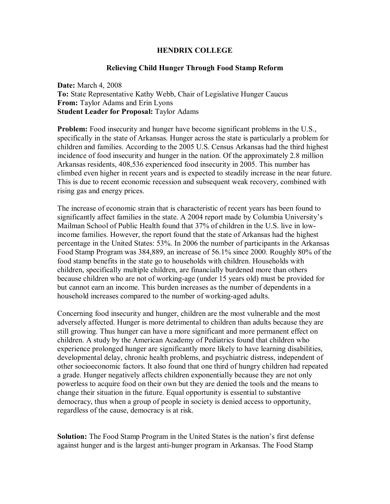## **HENDRIX COLLEGE**

## **Relieving Child Hunger Through Food Stamp Reform**

**Date:** March 4, 2008 **To:** State Representative Kathy Webb, Chair of Legislative Hunger Caucus **From:** Taylor Adams and Erin Lyons **Student Leader for Proposal:** Taylor Adams

**Problem:** Food insecurity and hunger have become significant problems in the U.S., specifically in the state of Arkansas. Hunger across the state is particularly a problem for children and families. According to the 2005 U.S. Census Arkansas had the third highest incidence of food insecurity and hunger in the nation. Of the approximately 2.8 million Arkansas residents, 408,536 experienced food insecurity in 2005. This number has climbed even higher in recent years and is expected to steadily increase in the near future. This is due to recent economic recession and subsequent weak recovery, combined with rising gas and energy prices.

The increase of economic strain that is characteristic of recent years has been found to significantly affect families in the state. A 2004 report made by Columbia University's Mailman School of Public Health found that 37% of children in the U.S. live in lowincome families. However, the report found that the state of Arkansas had the highest percentage in the United States: 53%. In 2006 the number of participants in the Arkansas Food Stamp Program was 384,889, an increase of 56.1% since 2000. Roughly 80% of the food stamp benefits in the state go to households with children. Households with children, specifically multiple children, are financially burdened more than others because children who are not of working-age (under 15 years old) must be provided for but cannot earn an income. This burden increases as the number of dependents in a household increases compared to the number of working-aged adults.

Concerning food insecurity and hunger, children are the most vulnerable and the most adversely affected. Hunger is more detrimental to children than adults because they are still growing. Thus hunger can have a more significant and more permanent effect on children. A study by the American Academy of Pediatrics found that children who experience prolonged hunger are significantly more likely to have learning disabilities, developmental delay, chronic health problems, and psychiatric distress, independent of other socioeconomic factors. It also found that one third of hungry children had repeated a grade. Hunger negatively affects children exponentially because they are not only powerless to acquire food on their own but they are denied the tools and the means to change their situation in the future. Equal opportunity is essential to substantive democracy, thus when a group of people in society is denied access to opportunity, regardless of the cause, democracy is at risk.

**Solution:** The Food Stamp Program in the United States is the nation's first defense against hunger and is the largest anti-hunger program in Arkansas. The Food Stamp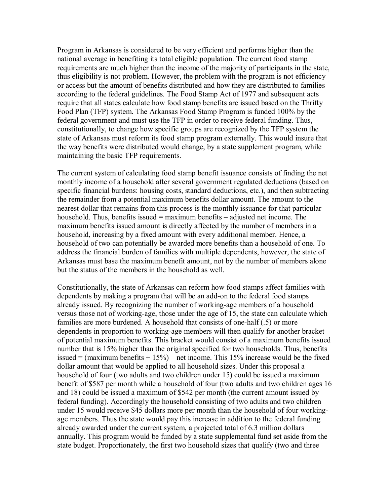Program in Arkansas is considered to be very efficient and performs higher than the national average in benefiting its total eligible population. The current food stamp requirements are much higher than the income of the majority of participants in the state, thus eligibility is not problem. However, the problem with the program is not efficiency or access but the amount of benefits distributed and how they are distributed to families according to the federal guidelines. The Food Stamp Act of 1977 and subsequent acts require that all states calculate how food stamp benefits are issued based on the Thrifty Food Plan (TFP) system. The Arkansas Food Stamp Program is funded 100% by the federal government and must use the TFP in order to receive federal funding. Thus, constitutionally, to change how specific groups are recognized by the TFP system the state of Arkansas must reform its food stamp program externally. This would insure that the way benefits were distributed would change, by a state supplement program, while maintaining the basic TFP requirements.

The current system of calculating food stamp benefit issuance consists of finding the net monthly income of a household after several government regulated deductions (based on specific financial burdens: housing costs, standard deductions, etc.), and then subtracting the remainder from a potential maximum benefits dollar amount. The amount to the nearest dollar that remains from this process is the monthly issuance for that particular household. Thus, benefits issued  $=$  maximum benefits  $-$  adjusted net income. The maximum benefits issued amount is directly affected by the number of members in a household, increasing by a fixed amount with every additional member. Hence, a household of two can potentially be awarded more benefits than a household of one. To address the financial burden of families with multiple dependents, however, the state of Arkansas must base the maximum benefit amount, not by the number of members alone but the status of the members in the household as well.

Constitutionally, the state of Arkansas can reform how food stamps affect families with dependents by making a program that will be an add-on to the federal food stamps already issued. By recognizing the number of working-age members of a household versus those not of working-age, those under the age of 15, the state can calculate which families are more burdened. A household that consists of one-half (.5) or more dependents in proportion to working-age members will then qualify for another bracket of potential maximum benefits. This bracket would consist of a maximum benefits issued number that is 15% higher than the original specified for two households. Thus, benefits issued = (maximum benefits  $+ 15\%$ ) – net income. This 15% increase would be the fixed dollar amount that would be applied to all household sizes. Under this proposal a household of four (two adults and two children under 15) could be issued a maximum benefit of \$587 per month while a household of four (two adults and two children ages 16 and 18) could be issued a maximum of \$542 per month (the current amount issued by federal funding). Accordingly the household consisting of two adults and two children under 15 would receive \$45 dollars more per month than the household of four workingage members. Thus the state would pay this increase in addition to the federal funding already awarded under the current system, a projected total of 6.3 million dollars annually. This program would be funded by a state supplemental fund set aside from the state budget. Proportionately, the first two household sizes that qualify (two and three